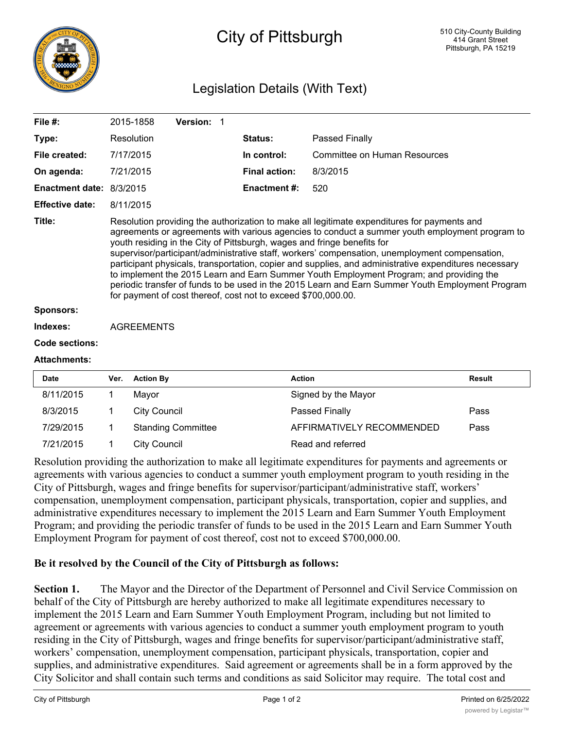

## City of Pittsburgh

## Legislation Details (With Text)

| File $#$ :               |                                                                                                                                                                                                                                                                                                                                                                                                                                                                                                                                                                                                                                                                                                                                                     | 2015-1858           | Version: 1                |  |                      |                                     |               |
|--------------------------|-----------------------------------------------------------------------------------------------------------------------------------------------------------------------------------------------------------------------------------------------------------------------------------------------------------------------------------------------------------------------------------------------------------------------------------------------------------------------------------------------------------------------------------------------------------------------------------------------------------------------------------------------------------------------------------------------------------------------------------------------------|---------------------|---------------------------|--|----------------------|-------------------------------------|---------------|
| Type:                    |                                                                                                                                                                                                                                                                                                                                                                                                                                                                                                                                                                                                                                                                                                                                                     | Resolution          |                           |  | Status:              | Passed Finally                      |               |
| File created:            |                                                                                                                                                                                                                                                                                                                                                                                                                                                                                                                                                                                                                                                                                                                                                     | 7/17/2015           |                           |  | In control:          | <b>Committee on Human Resources</b> |               |
| On agenda:               |                                                                                                                                                                                                                                                                                                                                                                                                                                                                                                                                                                                                                                                                                                                                                     | 7/21/2015           |                           |  | <b>Final action:</b> | 8/3/2015                            |               |
| Enactment date: 8/3/2015 |                                                                                                                                                                                                                                                                                                                                                                                                                                                                                                                                                                                                                                                                                                                                                     |                     |                           |  | <b>Enactment#:</b>   | 520                                 |               |
| <b>Effective date:</b>   |                                                                                                                                                                                                                                                                                                                                                                                                                                                                                                                                                                                                                                                                                                                                                     | 8/11/2015           |                           |  |                      |                                     |               |
| Title:                   | Resolution providing the authorization to make all legitimate expenditures for payments and<br>agreements or agreements with various agencies to conduct a summer youth employment program to<br>youth residing in the City of Pittsburgh, wages and fringe benefits for<br>supervisor/participant/administrative staff, workers' compensation, unemployment compensation,<br>participant physicals, transportation, copier and supplies, and administrative expenditures necessary<br>to implement the 2015 Learn and Earn Summer Youth Employment Program; and providing the<br>periodic transfer of funds to be used in the 2015 Learn and Earn Summer Youth Employment Program<br>for payment of cost thereof, cost not to exceed \$700,000.00. |                     |                           |  |                      |                                     |               |
| <b>Sponsors:</b>         |                                                                                                                                                                                                                                                                                                                                                                                                                                                                                                                                                                                                                                                                                                                                                     |                     |                           |  |                      |                                     |               |
| Indexes:                 | <b>AGREEMENTS</b>                                                                                                                                                                                                                                                                                                                                                                                                                                                                                                                                                                                                                                                                                                                                   |                     |                           |  |                      |                                     |               |
| Code sections:           |                                                                                                                                                                                                                                                                                                                                                                                                                                                                                                                                                                                                                                                                                                                                                     |                     |                           |  |                      |                                     |               |
| <b>Attachments:</b>      |                                                                                                                                                                                                                                                                                                                                                                                                                                                                                                                                                                                                                                                                                                                                                     |                     |                           |  |                      |                                     |               |
| Date                     | Ver.                                                                                                                                                                                                                                                                                                                                                                                                                                                                                                                                                                                                                                                                                                                                                | <b>Action By</b>    |                           |  | <b>Action</b>        |                                     | <b>Result</b> |
| 8/11/2015                | 1                                                                                                                                                                                                                                                                                                                                                                                                                                                                                                                                                                                                                                                                                                                                                   | Mayor               |                           |  |                      | Signed by the Mayor                 |               |
| 8/3/2015                 | 1                                                                                                                                                                                                                                                                                                                                                                                                                                                                                                                                                                                                                                                                                                                                                   | <b>City Council</b> |                           |  |                      | Passed Finally                      | Pass          |
| 7/29/2015                | 1                                                                                                                                                                                                                                                                                                                                                                                                                                                                                                                                                                                                                                                                                                                                                   |                     | <b>Standing Committee</b> |  |                      | AFFIRMATIVELY RECOMMENDED           | Pass          |
| 7/21/2015                | 1                                                                                                                                                                                                                                                                                                                                                                                                                                                                                                                                                                                                                                                                                                                                                   | <b>City Council</b> |                           |  |                      | Read and referred                   |               |

Resolution providing the authorization to make all legitimate expenditures for payments and agreements or agreements with various agencies to conduct a summer youth employment program to youth residing in the City of Pittsburgh, wages and fringe benefits for supervisor/participant/administrative staff, workers' compensation, unemployment compensation, participant physicals, transportation, copier and supplies, and administrative expenditures necessary to implement the 2015 Learn and Earn Summer Youth Employment Program; and providing the periodic transfer of funds to be used in the 2015 Learn and Earn Summer Youth Employment Program for payment of cost thereof, cost not to exceed \$700,000.00.

## **Be it resolved by the Council of the City of Pittsburgh as follows:**

**Section 1.** The Mayor and the Director of the Department of Personnel and Civil Service Commission on behalf of the City of Pittsburgh are hereby authorized to make all legitimate expenditures necessary to implement the 2015 Learn and Earn Summer Youth Employment Program, including but not limited to agreement or agreements with various agencies to conduct a summer youth employment program to youth residing in the City of Pittsburgh, wages and fringe benefits for supervisor/participant/administrative staff, workers' compensation, unemployment compensation, participant physicals, transportation, copier and supplies, and administrative expenditures. Said agreement or agreements shall be in a form approved by the City Solicitor and shall contain such terms and conditions as said Solicitor may require. The total cost and